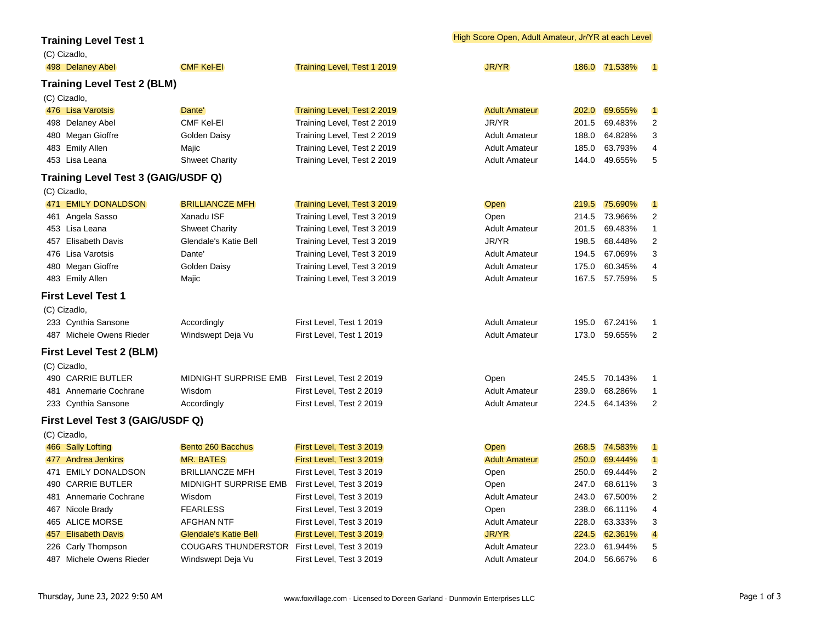## **Training Level Test 1**

| (C) Cizadlo,                        |                              |                             |                      |       |               |                         |
|-------------------------------------|------------------------------|-----------------------------|----------------------|-------|---------------|-------------------------|
| 498 Delaney Abel                    | <b>CMF Kel-EI</b>            | Training Level, Test 1 2019 | <b>JR/YR</b>         |       | 186.0 71.538% | $\blacksquare$          |
| <b>Training Level Test 2 (BLM)</b>  |                              |                             |                      |       |               |                         |
| (C) Cizadlo,                        |                              |                             |                      |       |               |                         |
| 476 Lisa Varotsis                   | Dante'                       | Training Level, Test 2 2019 | <b>Adult Amateur</b> |       | 202.0 69.655% | $\blacksquare$          |
| 498 Delaney Abel                    | <b>CMF Kel-El</b>            | Training Level, Test 2 2019 | JR/YR                | 201.5 | 69.483%       | $\overline{c}$          |
| 480 Megan Gioffre                   | Golden Daisy                 | Training Level, Test 2 2019 | <b>Adult Amateur</b> | 188.0 | 64.828%       | 3                       |
| 483 Emily Allen                     | Majic                        | Training Level, Test 2 2019 | <b>Adult Amateur</b> | 185.0 | 63.793%       | 4                       |
| 453 Lisa Leana                      | <b>Shweet Charity</b>        | Training Level, Test 2 2019 | <b>Adult Amateur</b> | 144.0 | 49.655%       | 5                       |
| Training Level Test 3 (GAIG/USDF Q) |                              |                             |                      |       |               |                         |
| (C) Cizadlo,                        |                              |                             |                      |       |               |                         |
| 471 EMILY DONALDSON                 | <b>BRILLIANCZE MFH</b>       | Training Level, Test 3 2019 | Open                 |       | 219.5 75.690% | $\blacksquare$          |
| 461 Angela Sasso                    | Xanadu ISF                   | Training Level, Test 3 2019 | Open                 | 214.5 | 73.966%       | $\overline{c}$          |
| 453 Lisa Leana                      | <b>Shweet Charity</b>        | Training Level, Test 3 2019 | <b>Adult Amateur</b> | 201.5 | 69.483%       | 1                       |
| 457 Elisabeth Davis                 | Glendale's Katie Bell        | Training Level, Test 3 2019 | JR/YR                | 198.5 | 68.448%       | 2                       |
| 476 Lisa Varotsis                   | Dante'                       | Training Level, Test 3 2019 | <b>Adult Amateur</b> | 194.5 | 67.069%       | 3                       |
| 480 Megan Gioffre                   | Golden Daisy                 | Training Level, Test 3 2019 | <b>Adult Amateur</b> | 175.0 | 60.345%       | 4                       |
| 483 Emily Allen                     | Majic                        | Training Level, Test 3 2019 | <b>Adult Amateur</b> | 167.5 | 57.759%       | 5                       |
| <b>First Level Test 1</b>           |                              |                             |                      |       |               |                         |
| (C) Cizadlo,                        |                              |                             |                      |       |               |                         |
| 233 Cynthia Sansone                 | Accordingly                  | First Level, Test 1 2019    | <b>Adult Amateur</b> | 195.0 | 67.241%       | 1                       |
| 487 Michele Owens Rieder            | Windswept Deja Vu            | First Level, Test 1 2019    | <b>Adult Amateur</b> | 173.0 | 59.655%       | $\overline{2}$          |
| <b>First Level Test 2 (BLM)</b>     |                              |                             |                      |       |               |                         |
| (C) Cizadlo,                        |                              |                             |                      |       |               |                         |
| 490 CARRIE BUTLER                   | <b>MIDNIGHT SURPRISE EMB</b> | First Level, Test 2 2019    | Open                 | 245.5 | 70.143%       | 1                       |
| 481 Annemarie Cochrane              | Wisdom                       | First Level, Test 2 2019    | <b>Adult Amateur</b> | 239.0 | 68.286%       | 1                       |
| 233 Cynthia Sansone                 | Accordingly                  | First Level, Test 2 2019    | <b>Adult Amateur</b> | 224.5 | 64.143%       | 2                       |
| First Level Test 3 (GAIG/USDF Q)    |                              |                             |                      |       |               |                         |
| (C) Cizadlo,                        |                              |                             |                      |       |               |                         |
| 466 Sally Lofting                   | Bento 260 Bacchus            | First Level, Test 3 2019    | Open                 |       | 268.5 74.583% | $\blacksquare$          |
| 477 Andrea Jenkins                  | <b>MR. BATES</b>             | First Level, Test 3 2019    | <b>Adult Amateur</b> | 250.0 | 69.444%       | $\mathbf 1$             |
| 471 EMILY DONALDSON                 | <b>BRILLIANCZE MFH</b>       | First Level, Test 3 2019    | Open                 | 250.0 | 69.444%       | 2                       |
| 490 CARRIE BUTLER                   | <b>MIDNIGHT SURPRISE EMB</b> | First Level, Test 3 2019    | Open                 | 247.0 | 68.611%       | 3                       |
| 481 Annemarie Cochrane              | Wisdom                       | First Level, Test 3 2019    | <b>Adult Amateur</b> | 243.0 | 67.500%       | 2                       |
| 467 Nicole Brady                    | <b>FEARLESS</b>              | First Level, Test 3 2019    | Open                 | 238.0 | 66.111%       | 4                       |
| 465 ALICE MORSE                     | <b>AFGHAN NTF</b>            | First Level, Test 3 2019    | <b>Adult Amateur</b> | 228.0 | 63.333%       | 3                       |
| 457 Elisabeth Davis                 | <b>Glendale's Katie Bell</b> | First Level, Test 3 2019    | <b>JR/YR</b>         |       | 224.5 62.361% | $\overline{\mathbf{4}}$ |
| 226 Carly Thompson                  | <b>COUGARS THUNDERSTOR</b>   | First Level, Test 3 2019    | <b>Adult Amateur</b> | 223.0 | 61.944%       | 5                       |
| 487 Michele Owens Rieder            | Windswept Deja Vu            | First Level, Test 3 2019    | <b>Adult Amateur</b> | 204.0 | 56.667%       | 6                       |

## High Score Open, Adult Amateur, Jr/YR at each Level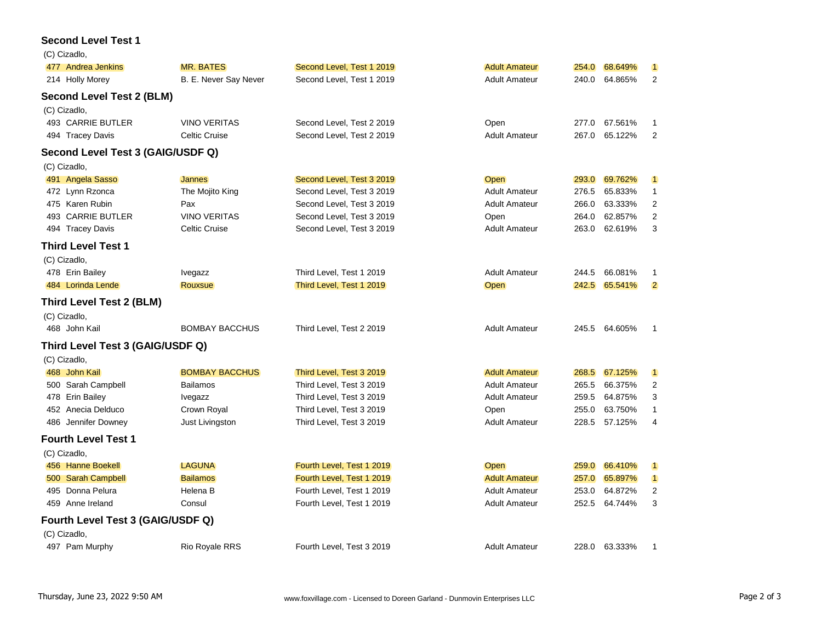## **Second Level Test 1**

| (C) Cizadlo,                      |                       |                           |                      |       |         |                |
|-----------------------------------|-----------------------|---------------------------|----------------------|-------|---------|----------------|
| 477 Andrea Jenkins                | <b>MR. BATES</b>      | Second Level, Test 1 2019 | <b>Adult Amateur</b> | 254.0 | 68.649% | $\blacksquare$ |
| 214 Holly Morey                   | B. E. Never Say Never | Second Level, Test 1 2019 | <b>Adult Amateur</b> | 240.0 | 64.865% | 2              |
| <b>Second Level Test 2 (BLM)</b>  |                       |                           |                      |       |         |                |
| (C) Cizadlo,                      |                       |                           |                      |       |         |                |
| 493 CARRIE BUTLER                 | <b>VINO VERITAS</b>   | Second Level, Test 2 2019 | Open                 | 277.0 | 67.561% | -1             |
| 494 Tracey Davis                  | Celtic Cruise         | Second Level, Test 2 2019 | <b>Adult Amateur</b> | 267.0 | 65.122% | 2              |
| Second Level Test 3 (GAIG/USDF Q) |                       |                           |                      |       |         |                |
| (C) Cizadlo,                      |                       |                           |                      |       |         |                |
| 491 Angela Sasso                  | <b>Jannes</b>         | Second Level, Test 3 2019 | Open                 | 293.0 | 69.762% | $\vert$ 1      |
| 472 Lynn Rzonca                   | The Mojito King       | Second Level, Test 3 2019 | <b>Adult Amateur</b> | 276.5 | 65.833% | $\mathbf{1}$   |
| 475 Karen Rubin                   | Pax                   | Second Level, Test 3 2019 | <b>Adult Amateur</b> | 266.0 | 63.333% | $\overline{c}$ |
| 493 CARRIE BUTLER                 | <b>VINO VERITAS</b>   | Second Level, Test 3 2019 | Open                 | 264.0 | 62.857% | 2              |
| 494 Tracey Davis                  | <b>Celtic Cruise</b>  | Second Level, Test 3 2019 | <b>Adult Amateur</b> | 263.0 | 62.619% | 3              |
| <b>Third Level Test 1</b>         |                       |                           |                      |       |         |                |
| (C) Cizadlo,                      |                       |                           |                      |       |         |                |
| 478 Erin Bailey                   | Ivegazz               | Third Level, Test 1 2019  | <b>Adult Amateur</b> | 244.5 | 66.081% | -1             |
| 484 Lorinda Lende                 | <b>Rouxsue</b>        | Third Level, Test 1 2019  | Open                 | 242.5 | 65.541% | $\overline{2}$ |
| <b>Third Level Test 2 (BLM)</b>   |                       |                           |                      |       |         |                |
| (C) Cizadlo,                      |                       |                           |                      |       |         |                |
| 468 John Kail                     | <b>BOMBAY BACCHUS</b> | Third Level, Test 2 2019  | <b>Adult Amateur</b> | 245.5 | 64.605% | $\overline{1}$ |
| Third Level Test 3 (GAIG/USDF Q)  |                       |                           |                      |       |         |                |
| (C) Cizadlo,                      |                       |                           |                      |       |         |                |
| 468 John Kail                     | <b>BOMBAY BACCHUS</b> | Third Level, Test 3 2019  | <b>Adult Amateur</b> | 268.5 | 67.125% | $\blacksquare$ |
| 500 Sarah Campbell                | Bailamos              | Third Level, Test 3 2019  | <b>Adult Amateur</b> | 265.5 | 66.375% | 2              |
| 478 Erin Bailey                   | Ivegazz               | Third Level, Test 3 2019  | <b>Adult Amateur</b> | 259.5 | 64.875% | 3              |
| 452 Anecia Delduco                | Crown Royal           | Third Level, Test 3 2019  | Open                 | 255.0 | 63.750% | 1              |
| 486 Jennifer Downey               | Just Livingston       | Third Level, Test 3 2019  | <b>Adult Amateur</b> | 228.5 | 57.125% | 4              |
| <b>Fourth Level Test 1</b>        |                       |                           |                      |       |         |                |
| (C) Cizadlo,                      |                       |                           |                      |       |         |                |
| 456 Hanne Boekell                 | <b>LAGUNA</b>         | Fourth Level, Test 1 2019 | Open                 | 259.0 | 66.410% | $\blacksquare$ |
| 500 Sarah Campbell                | <b>Bailamos</b>       | Fourth Level, Test 1 2019 | <b>Adult Amateur</b> | 257.0 | 65.897% | $\blacksquare$ |
| Donna Pelura<br>495               | Helena B              | Fourth Level, Test 1 2019 | <b>Adult Amateur</b> | 253.0 | 64.872% | 2              |
| 459 Anne Ireland                  | Consul                | Fourth Level, Test 1 2019 | <b>Adult Amateur</b> | 252.5 | 64.744% | 3              |
| Fourth Level Test 3 (GAIG/USDF Q) |                       |                           |                      |       |         |                |
| (C) Cizadlo,                      |                       |                           |                      |       |         |                |
| 497 Pam Murphy                    | Rio Royale RRS        | Fourth Level, Test 3 2019 | <b>Adult Amateur</b> | 228.0 | 63.333% | $\overline{1}$ |
|                                   |                       |                           |                      |       |         |                |